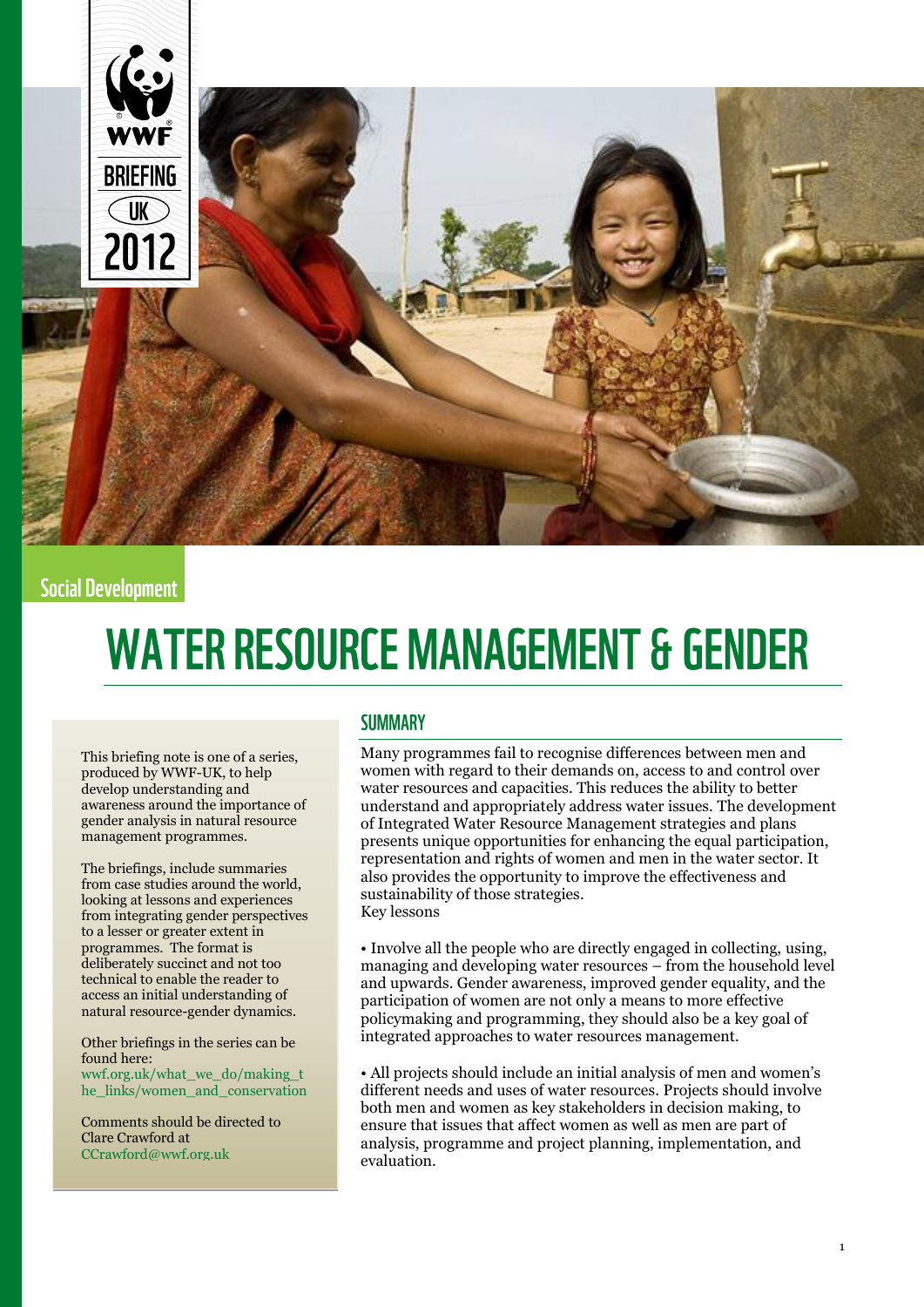

# **Social Development**

# **WATER RESOURCE MANAGEMENT & GENDER**

This briefing note is one of a series, produced by WWF-UK, to help develop understanding and awareness around the importance of gender analysis in natural resource management programmes.

The briefings, include summaries from case studies around the world, looking at lessons and experiences from integrating gender perspectives to a lesser or greater extent in programmes. The format is deliberately succinct and not too technical to enable the reader to access an initial understanding of natural resource-gender dynamics.

Other briefings in the series can be found here: [wwf.org.uk/what\\_we\\_do/making\\_t](http://www.wwf.org.uk/what_we_do/making_the_links/women_and_conservation)

[he\\_links/women\\_and\\_conservation](http://www.wwf.org.uk/what_we_do/making_the_links/women_and_conservation)

Comments should be directed to Clare Crawford at [CCrawford@wwf.org.uk](mailto:CCrawford@wwf.org.uk)

#### **SUMMARY**

Many programmes fail to recognise differences between men and women with regard to their demands on, access to and control over water resources and capacities. This reduces the ability to better understand and appropriately address water issues. The development of Integrated Water Resource Management strategies and plans presents unique opportunities for enhancing the equal participation, representation and rights of women and men in the water sector. It also provides the opportunity to improve the effectiveness and sustainability of those strategies. Key lessons

• Involve all the people who are directly engaged in collecting, using, managing and developing water resources – from the household level and upwards. Gender awareness, improved gender equality, and the participation of women are not only a means to more effective policymaking and programming, they should also be a key goal of integrated approaches to water resources management.

• All projects should include an initial analysis of men and women's different needs and uses of water resources. Projects should involve both men and women as key stakeholders in decision making, to ensure that issues that affect women as well as men are part of analysis, programme and project planning, implementation, and evaluation.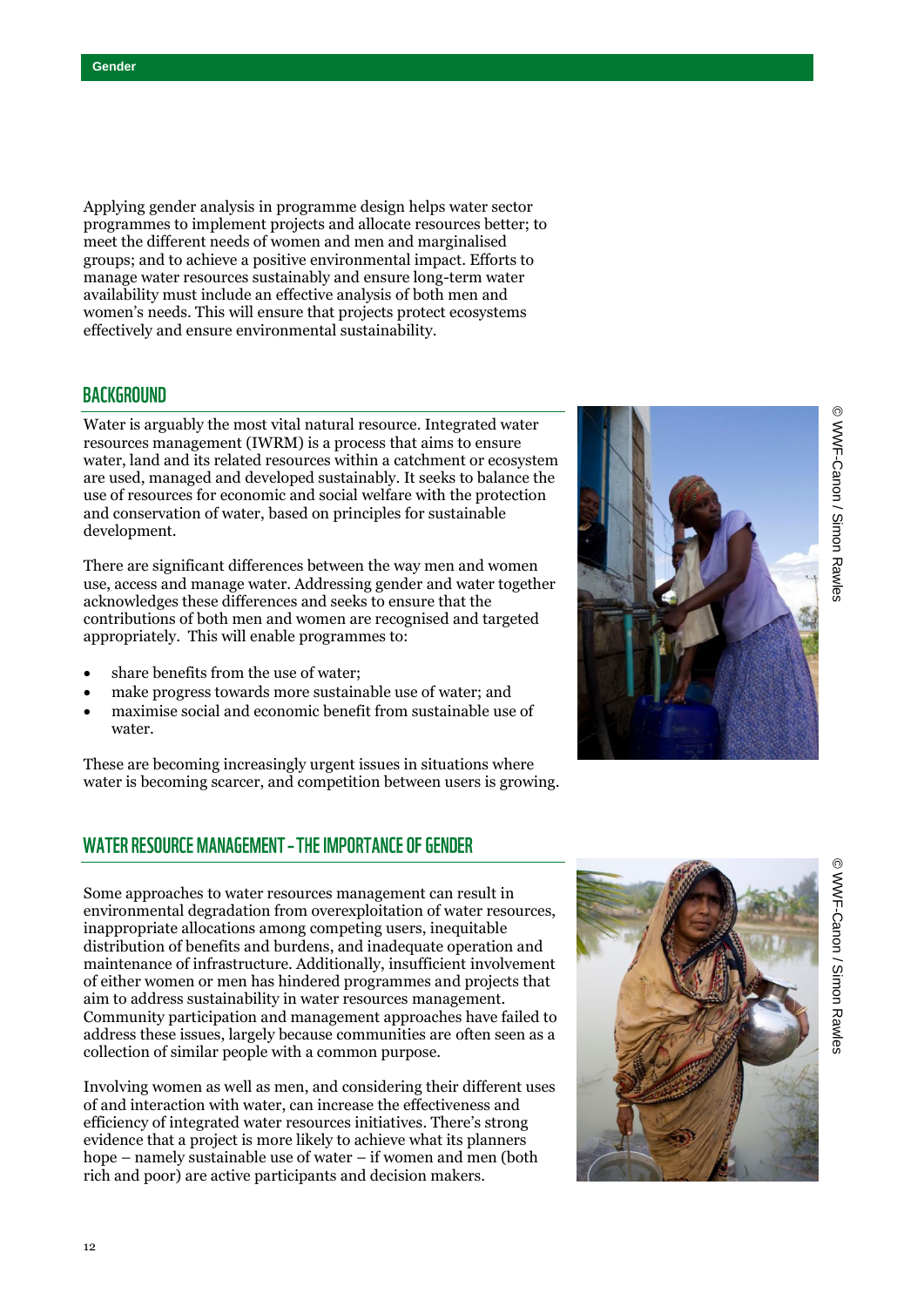Applying gender analysis in programme design helps water sector programmes to implement projects and allocate resources better; to meet the different needs of women and men and marginalised groups; and to achieve a positive environmental impact. Efforts to manage water resources sustainably and ensure long-term water availability must include an effective analysis of both men and women's needs. This will ensure that projects protect ecosystems effectively and ensure environmental sustainability.

#### **BACKGROUND**

Water is arguably the most vital natural resource. Integrated water resources management (IWRM) is a process that aims to ensure water, land and its related resources within a catchment or ecosystem are used, managed and developed sustainably. It seeks to balance the use of resources for economic and social welfare with the protection and conservation of water, based on principles for sustainable development.

There are significant differences between the way men and women use, access and manage water. Addressing gender and water together acknowledges these differences and seeks to ensure that the contributions of both men and women are recognised and targeted appropriately. This will enable programmes to:

- share benefits from the use of water;
- make progress towards more sustainable use of water; and
- maximise social and economic benefit from sustainable use of water.

These are becoming increasingly urgent issues in situations where water is becoming scarcer, and competition between users is growing.

# **WATER RESOURCE MANAGEMENT - THE IMPORTANCE OF GENDER**

Some approaches to water resources management can result in environmental degradation from overexploitation of water resources, inappropriate allocations among competing users, inequitable distribution of benefits and burdens, and inadequate operation and maintenance of infrastructure. Additionally, insufficient involvement of either women or men has hindered programmes and projects that aim to address sustainability in water resources management. Community participation and management approaches have failed to address these issues, largely because communities are often seen as a collection of similar people with a common purpose.

Involving women as well as men, and considering their different uses of and interaction with water, can increase the effectiveness and efficiency of integrated water resources initiatives. There's strong evidence that a project is more likely to achieve what its planners hope – namely sustainable use of water – if women and men (both rich and poor) are active participants and decision makers.



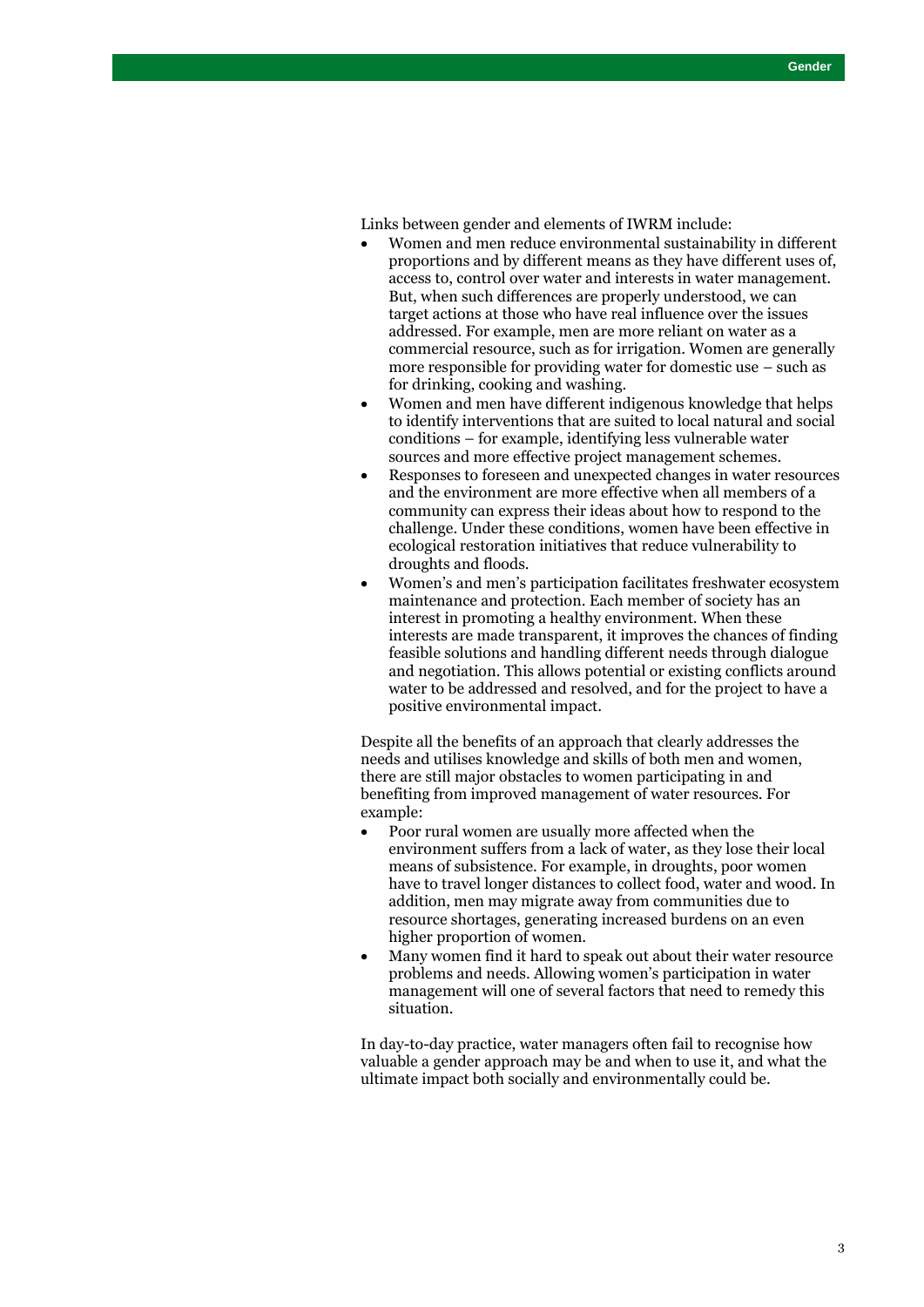Links between gender and elements of IWRM include:

- Women and men reduce environmental sustainability in different proportions and by different means as they have different uses of, access to, control over water and interests in water management. But, when such differences are properly understood, we can target actions at those who have real influence over the issues addressed. For example, men are more reliant on water as a commercial resource, such as for irrigation. Women are generally more responsible for providing water for domestic use – such as for drinking, cooking and washing.
- Women and men have different indigenous knowledge that helps to identify interventions that are suited to local natural and social conditions – for example, identifying less vulnerable water sources and more effective project management schemes.
- Responses to foreseen and unexpected changes in water resources and the environment are more effective when all members of a community can express their ideas about how to respond to the challenge. Under these conditions, women have been effective in ecological restoration initiatives that reduce vulnerability to droughts and floods.
- Women's and men's participation facilitates freshwater ecosystem maintenance and protection. Each member of society has an interest in promoting a healthy environment. When these interests are made transparent, it improves the chances of finding feasible solutions and handling different needs through dialogue and negotiation. This allows potential or existing conflicts around water to be addressed and resolved, and for the project to have a positive environmental impact.

Despite all the benefits of an approach that clearly addresses the needs and utilises knowledge and skills of both men and women, there are still major obstacles to women participating in and benefiting from improved management of water resources. For example:

- Poor rural women are usually more affected when the environment suffers from a lack of water, as they lose their local means of subsistence. For example, in droughts, poor women have to travel longer distances to collect food, water and wood. In addition, men may migrate away from communities due to resource shortages, generating increased burdens on an even higher proportion of women.
- Many women find it hard to speak out about their water resource problems and needs. Allowing women's participation in water management will one of several factors that need to remedy this situation.

In day-to-day practice, water managers often fail to recognise how valuable a gender approach may be and when to use it, and what the ultimate impact both socially and environmentally could be.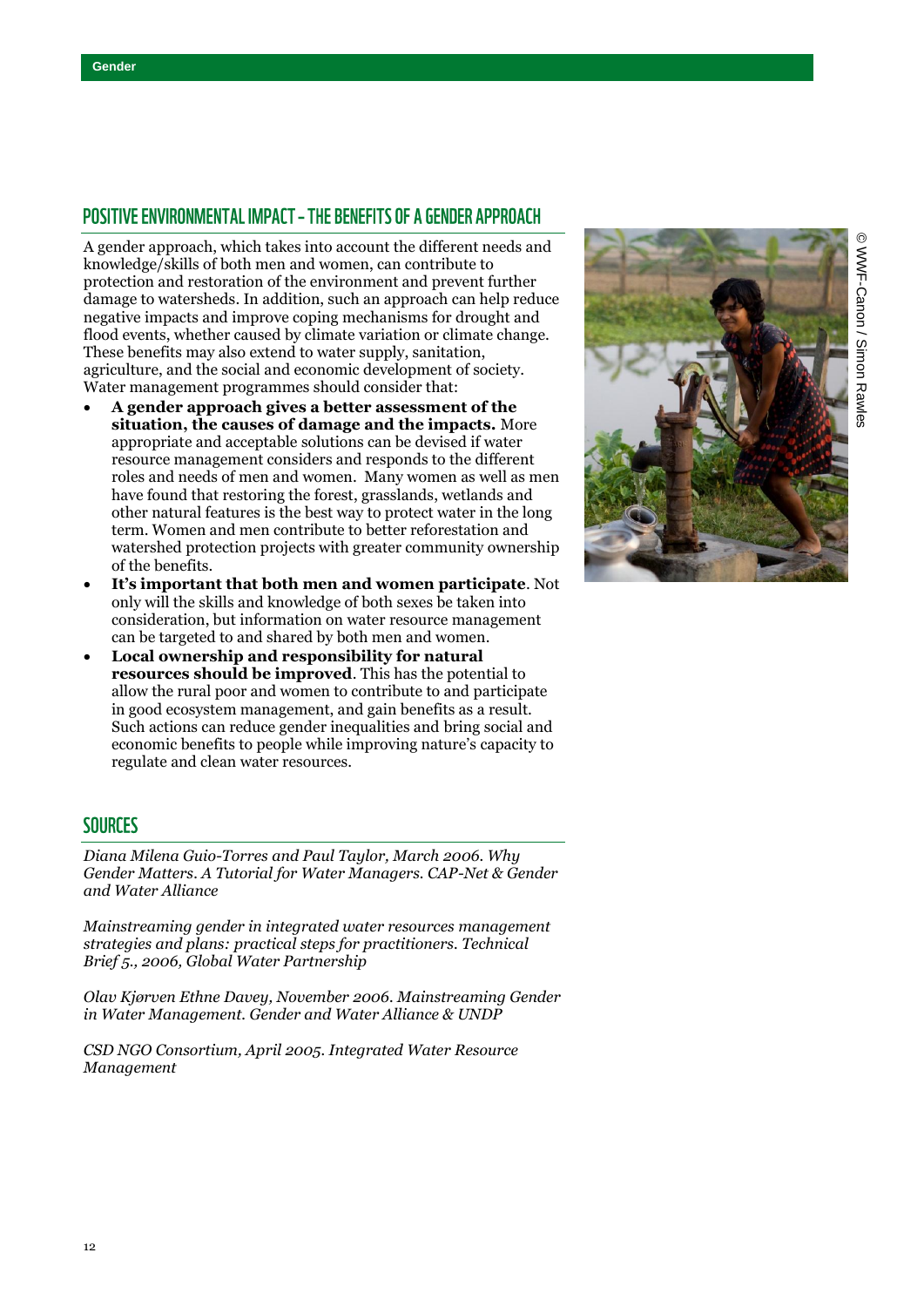# POSITIVE ENVIRONMENTAL IMPACT - THE BENEFITS OF A GENDER APPROACH

A gender approach, which takes into account the different needs and knowledge/skills of both men and women, can contribute to protection and restoration of the environment and prevent further damage to watersheds. In addition, such an approach can help reduce negative impacts and improve coping mechanisms for drought and flood events, whether caused by climate variation or climate change. These benefits may also extend to water supply, sanitation, agriculture, and the social and economic development of society. Water management programmes should consider that:

- **A gender approach gives a better assessment of the situation, the causes of damage and the impacts.** More appropriate and acceptable solutions can be devised if water resource management considers and responds to the different roles and needs of men and women. Many women as well as men have found that restoring the forest, grasslands, wetlands and other natural features is the best way to protect water in the long term. Women and men contribute to better reforestation and watershed protection projects with greater community ownership of the benefits.
- **It's important that both men and women participate**. Not only will the skills and knowledge of both sexes be taken into consideration, but information on water resource management can be targeted to and shared by both men and women.
- **Local ownership and responsibility for natural resources should be improved**. This has the potential to allow the rural poor and women to contribute to and participate in good ecosystem management, and gain benefits as a result. Such actions can reduce gender inequalities and bring social and economic benefits to people while improving nature's capacity to regulate and clean water resources.



# **SOURCES**

*Diana Milena Guio-Torres and Paul Taylor, March 2006. Why Gender Matters. A Tutorial for Water Managers. CAP-Net & Gender and Water Alliance*

*Mainstreaming gender in integrated water resources management strategies and plans: practical steps for practitioners. Technical Brief 5., 2006, Global Water Partnership*

*Olav Kjørven Ethne Davey, November 2006. Mainstreaming Gender in Water Management. Gender and Water Alliance & UNDP*

*CSD NGO Consortium, April 2005. Integrated Water Resource Management*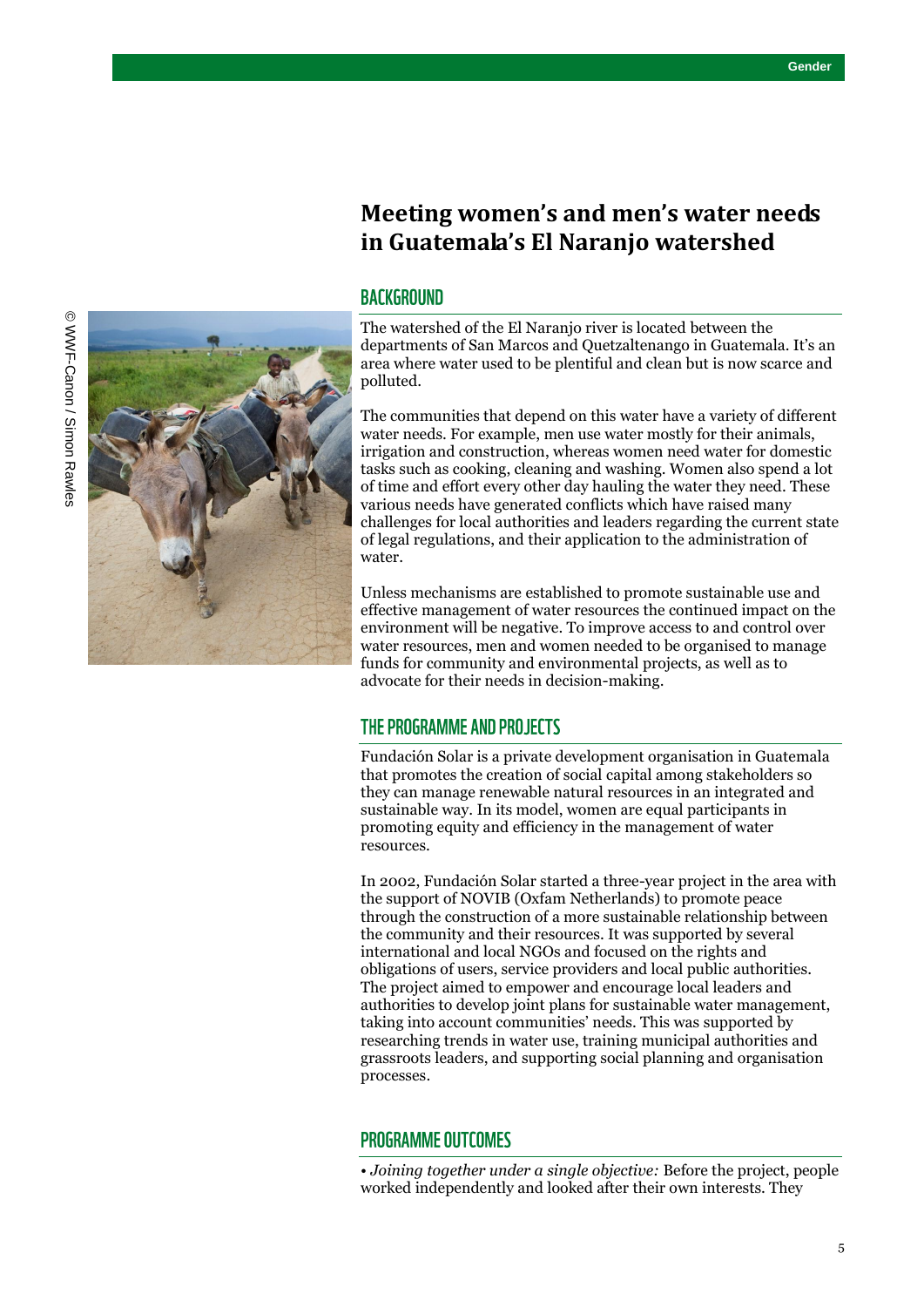# **Meeting women's and men's water needs in Guatemala's El Naranjo watershed**

#### **BACKGROUND**

The watershed of the El Naranjo river is located between the departments of San Marcos and Quetzaltenango in Guatemala. It's an area where water used to be plentiful and clean but is now scarce and polluted.

The communities that depend on this water have a variety of different water needs. For example, men use water mostly for their animals, irrigation and construction, whereas women need water for domestic tasks such as cooking, cleaning and washing. Women also spend a lot of time and effort every other day hauling the water they need. These various needs have generated conflicts which have raised many challenges for local authorities and leaders regarding the current state of legal regulations, and their application to the administration of water.

Unless mechanisms are established to promote sustainable use and effective management of water resources the continued impact on the environment will be negative. To improve access to and control over water resources, men and women needed to be organised to manage funds for community and environmental projects, as well as to advocate for their needs in decision-making.

#### THE PROGRAMME AND PROJECTS

Fundación Solar is a private development organisation in Guatemala that promotes the creation of social capital among stakeholders so they can manage renewable natural resources in an integrated and sustainable way. In its model, women are equal participants in promoting equity and efficiency in the management of water resources.

In 2002, Fundación Solar started a three-year project in the area with the support of NOVIB (Oxfam Netherlands) to promote peace through the construction of a more sustainable relationship between the community and their resources. It was supported by several international and local NGOs and focused on the rights and obligations of users, service providers and local public authorities. The project aimed to empower and encourage local leaders and authorities to develop joint plans for sustainable water management, taking into account communities' needs. This was supported by researching trends in water use, training municipal authorities and grassroots leaders, and supporting social planning and organisation processes.

#### **PROGRAMME OUTCOMES**

• *Joining together under a single objective:* Before the project, people worked independently and looked after their own interests. They

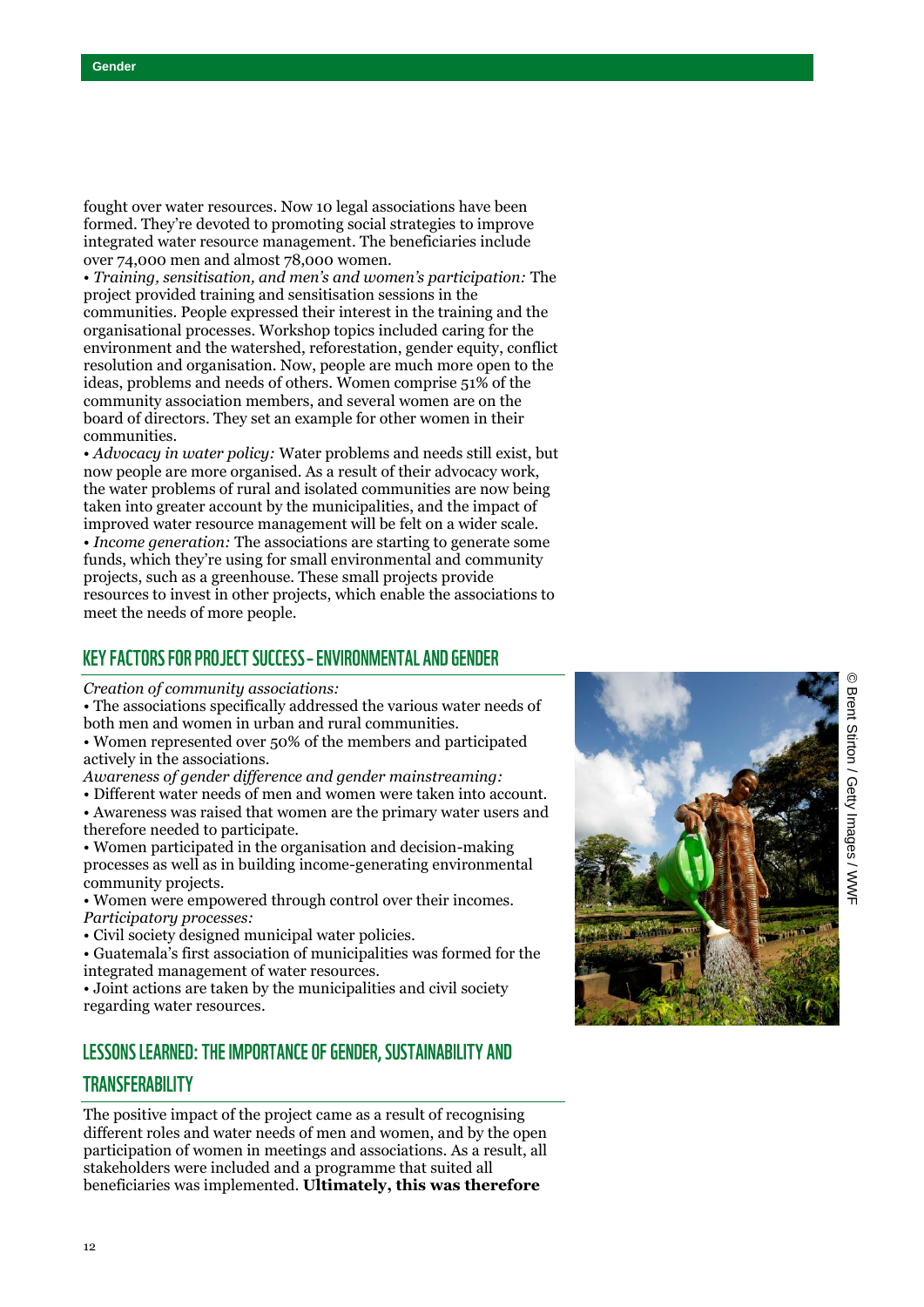fought over water resources. Now 10 legal associations have been formed. They're devoted to promoting social strategies to improve integrated water resource management. The beneficiaries include over 74,000 men and almost 78,000 women.

• *Training, sensitisation, and men's and women's participation:* The project provided training and sensitisation sessions in the communities. People expressed their interest in the training and the organisational processes. Workshop topics included caring for the environment and the watershed, reforestation, gender equity, conflict resolution and organisation. Now, people are much more open to the ideas, problems and needs of others. Women comprise 51% of the community association members, and several women are on the board of directors. They set an example for other women in their communities.

• *Advocacy in water policy:* Water problems and needs still exist, but now people are more organised. As a result of their advocacy work, the water problems of rural and isolated communities are now being taken into greater account by the municipalities, and the impact of improved water resource management will be felt on a wider scale. • *Income generation:* The associations are starting to generate some funds, which they're using for small environmental and community projects, such as a greenhouse. These small projects provide resources to invest in other projects, which enable the associations to meet the needs of more people.

# **KEY FACTORS FOR PROJECT SUCCESS - ENVIRONMENTAL AND GENDER**

*Creation of community associations:*

• The associations specifically addressed the various water needs of both men and women in urban and rural communities.

• Women represented over 50% of the members and participated actively in the associations.

*Awareness of gender difference and gender mainstreaming:*

- Different water needs of men and women were taken into account. • Awareness was raised that women are the primary water users and
- therefore needed to participate. • Women participated in the organisation and decision -making processes as well as in building income -generating environmental community projects.
- Women were empowered through control over their incomes. *Participatory processes:*
- Civil society designed municipal water policies.

• Guatemala's first association of municipalities was formed for the integrated management of water resources.

• Joint actions are taken by the municipalities and civil society regarding water resources.

# LESSONS LEARNED: THE IMPORTANCE OF GENDER, SUSTAINABILITY AND

#### **TRANSFERABILITY**

The positive impact of the project came as a result of recognising different roles and water needs of men and women, and by the open participation of women in meetings and associations. As a result, all stakeholders were included and a programme that suited all beneficiaries was implemented. **Ultimately, this was therefore** 

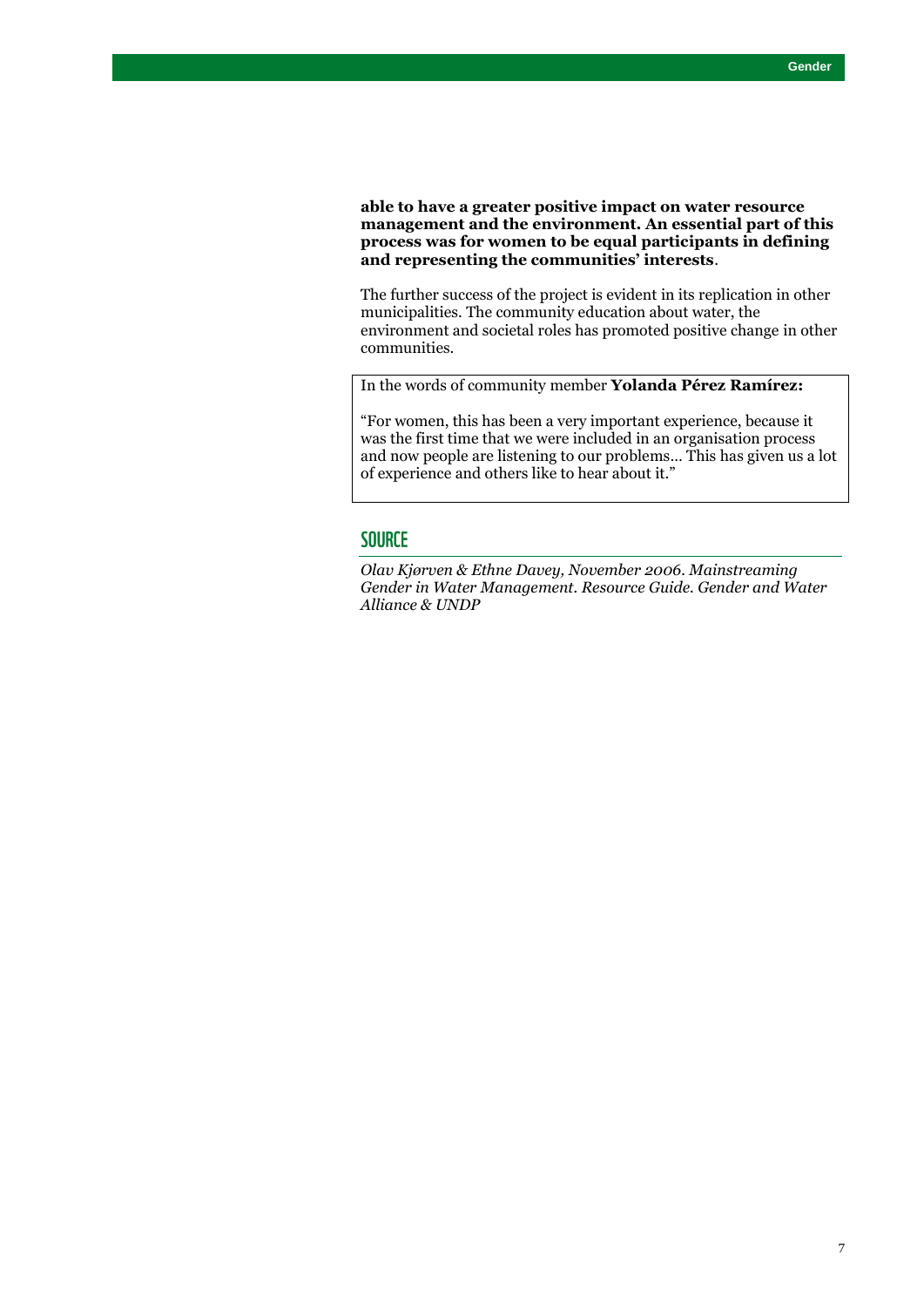#### **able to have a greater positive impact on water resource management and the environment. An essential part of this process was for women to be equal participants in defining and representing the communities' interests**.

The further success of the project is evident in its replication in other municipalities. The community education about water, the environment and societal roles has promoted positive change in other communities.

In the words of community member **Yolanda Pérez Ramírez:**

"For women, this has been a very important experience, because it was the first time that we were included in an organisation process and now people are listening to our problems… This has given us a lot of experience and others like to hear about it."

# **SOURCE**

*Olav Kjørven & Ethne Davey, November 2006. Mainstreaming Gender in Water Management. Resource Guide. Gender and Water Alliance & UNDP*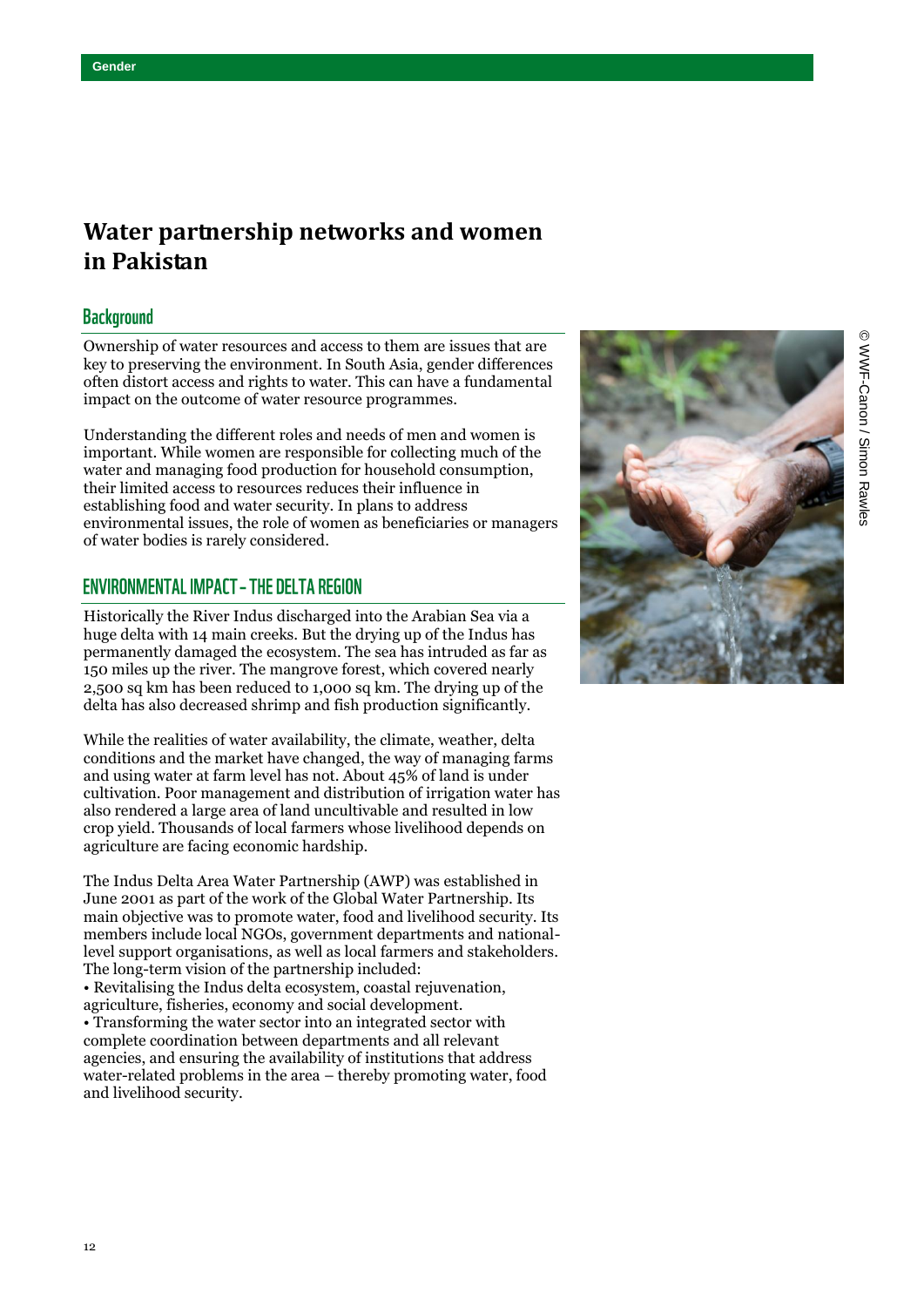# **Water partnership networks and women in Pakistan**

# **Background**

Ownership of water resources and access to them are issues that are key to preserving the environment. In South Asia, gender differences often distort access and rights to water. This can have a fundamental impact on the outcome of water resource programmes.

Understanding the different roles and needs of men and women is important. While women are responsible for collecting much of the water and managing food production for household consumption, their limited access to resources reduces their influence in establishing food and water security. In plans to address environmental issues, the role of women as beneficiaries or managers of water bodies is rarely considered.

# **ENVIRONMENTAL IMPACT - THE DELTA REGION**

Historically the River Indus discharged into the Arabian Sea via a huge delta with 14 main creeks. But the drying up of the Indus has permanently damaged the ecosystem. The sea has intruded as far as 150 miles up the river. The mangrove forest, which covered nearly 2,500 sq km has been reduced to 1,000 sq km. The drying up of the delta has also decreased shrimp and fish production significantly.

While the realities of water availability, the climate, weather, delta conditions and the market have changed, the way of managing farms and using water at farm level has not. About 45% of land is under cultivation. Poor management and distribution of irrigation water has also rendered a large area of land uncultivable and resulted in low crop yield. Thousands of local farmers whose livelihood depends on agriculture are facing economic hardship.

The Indus Delta Area Water Partnership (AWP) was established in June 2001 as part of the work of the Global Water Partnership. Its main objective was to promote water, food and livelihood security. Its members include local NGOs, government departments and nationallevel support organisations, as well as local farmers and stakeholders. The long-term vision of the partnership included:

• Revitalising the Indus delta ecosystem, coastal rejuvenation, agriculture, fisheries, economy and social development. • Transforming the water sector into an integrated sector with complete coordination between departments and all relevant agencies, and ensuring the availability of institutions that address water-related problems in the area – thereby promoting water, food and livelihood security.

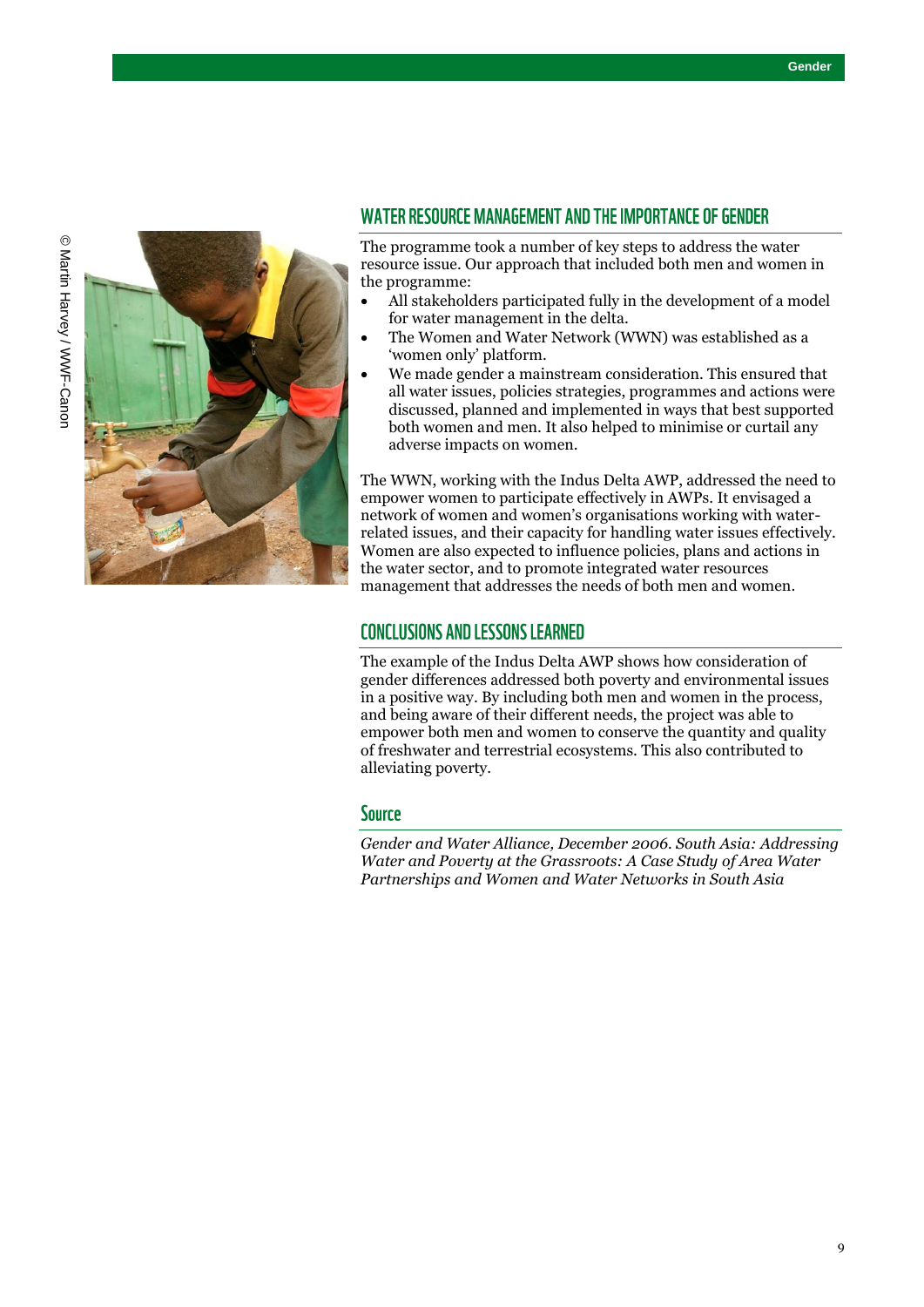

# WATER RESOURCE MANAGEMENT AND THE IMPORTANCE OF GENDER

The programme took a number of key steps to address the water resource issue. Our approach that included both men and women in the programme:

- All stakeholders participated fully in the development of a model for water management in the delta.
- The Women and Water Network (WWN) was established as a 'women only' platform.
- We made gender a mainstream consideration. This ensured that all water issues, policies strategies, programmes and actions were discussed, planned and implemented in ways that best supported both women and men. It also helped to minimise or curtail any adverse impacts on women.

The WWN, working with the Indus Delta AWP, addressed the need to empower women to participate effectively in AWPs. It envisaged a network of women and women's organisations working with waterrelated issues, and their capacity for handling water issues effectively. Women are also expected to influence policies, plans and actions in the water sector, and to promote integrated water resources management that addresses the needs of both men and women.

# **CONCLUSIONS AND LESSONS LEARNED**

The example of the Indus Delta AWP shows how consideration of gender differences addressed both poverty and environmental issues in a positive way. By including both men and women in the process, and being aware of their different needs, the project was able to empower both men and women to conserve the quantity and quality of freshwater and terrestrial ecosystems. This also contributed to alleviating poverty.

#### **Source**

*Gender and Water Alliance, December 2006. South Asia: Addressing Water and Poverty at the Grassroots: A Case Study of Area Water Partnerships and Women and Water Networks in South Asia*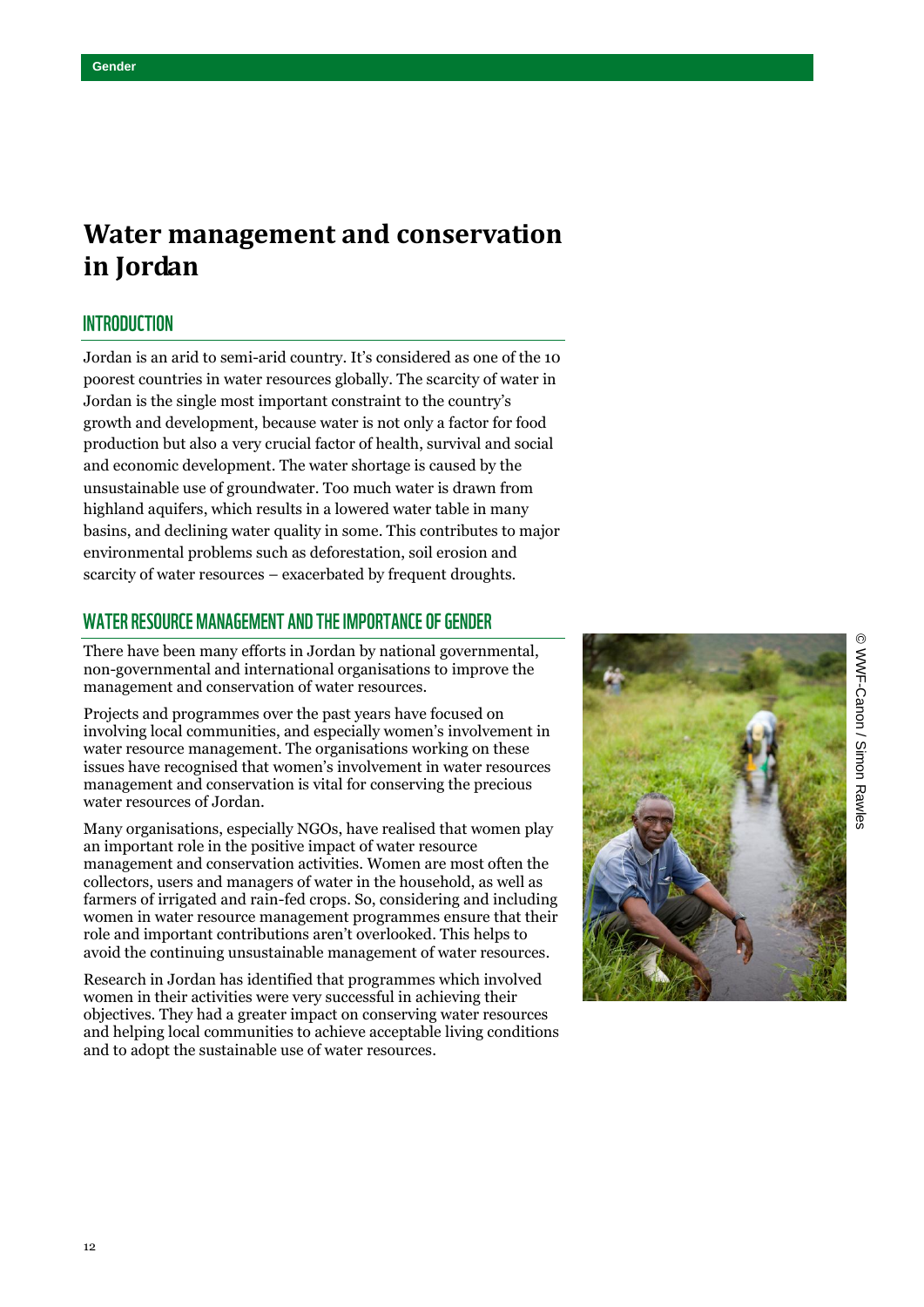# **Water management and conservation in Jordan**

## **INTRODUCTION**

Jordan is an arid to semi-arid country. It's considered as one of the 10 poorest countries in water resources globally. The scarcity of water in Jordan is the single most important constraint to the country's growth and development, because water is not only a factor for food production but also a very crucial factor of health, survival and social and economic development. The water shortage is caused by the unsustainable use of groundwater. Too much water is drawn from highland aquifers, which results in a lowered water table in many basins, and declining water quality in some. This contributes to major environmental problems such as deforestation, soil erosion and scarcity of water resources – exacerbated by frequent droughts.

# WATER RESOURCE MANAGEMENT AND THE IMPORTANCE OF GENDER

There have been many efforts in Jordan by national governmental, non-governmental and international organisations to improve the management and conservation of water resources.

Projects and programmes over the past years have focused on involving local communities, and especially women's involvement in water resource management. The organisations working on these issues have recognised that women's involvement in water resources management and conservation is vital for conserving the precious water resources of Jordan.

Many organisations, especially NGOs, have realised that women play an important role in the positive impact of water resource management and conservation activities. Women are most often the collectors, users and managers of water in the household, as well as farmers of irrigated and rain-fed crops. So, considering and including women in water resource management programmes ensure that their role and important contributions aren't overlooked. This helps to avoid the continuing unsustainable management of water resources.

Research in Jordan has identified that programmes which involved women in their activities were very successful in achieving their objectives. They had a greater impact on conserving water resources and helping local communities to achieve acceptable living conditions and to adopt the sustainable use of water resources.

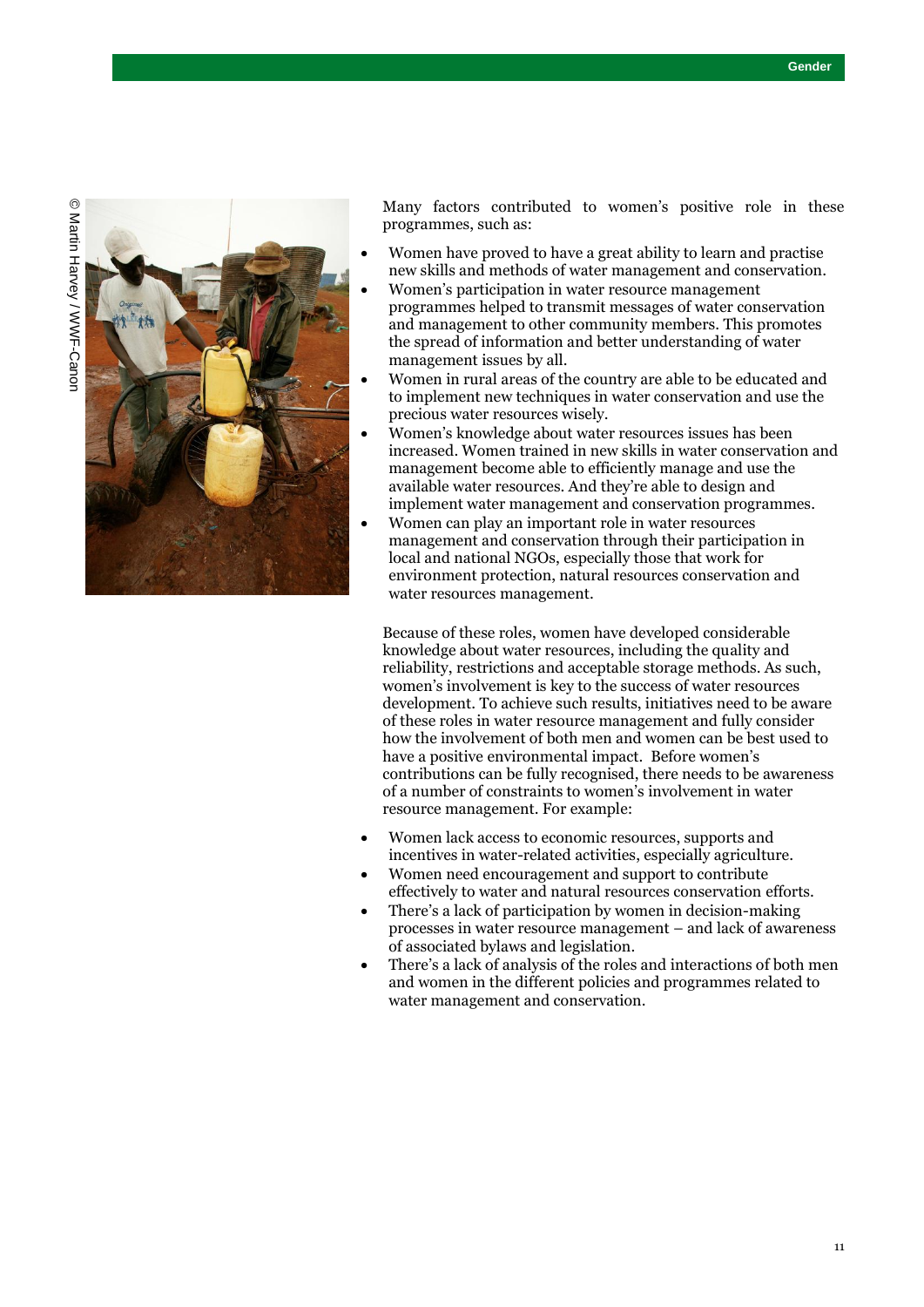

Many factors contributed to women's positive role in these programmes, such as:

- Women have proved to have a great ability to learn and practise new skills and methods of water management and conservation.
- Women's participation in water resource management programmes helped to transmit messages of water conservation and management to other community members. This promotes the spread of information and better understanding of water management issues by all.
- Women in rural areas of the country are able to be educated and to implement new techniques in water conservation and use the precious water resources wisely.
- Women's knowledge about water resources issues has been increased. Women trained in new skills in water conservation and management become able to efficiently manage and use the available water resources. And they're able to design and implement water management and conservation programmes.
- Women can play an important role in water resources management and conservation through their participation in local and national NGOs, especially those that work for environment protection, natural resources conservation and water resources management.

Because of these roles, women have developed considerable knowledge about water resources, including the quality and reliability, restrictions and acceptable storage methods. As such, women's involvement is key to the success of water resources development. To achieve such results, initiatives need to be aware of these roles in water resource management and fully consider how the involvement of both men and women can be best used to have a positive environmental impact. Before women's contributions can be fully recognised, there needs to be awareness of a number of constraints to women's involvement in water resource management. For example:

- Women lack access to economic resources, supports and incentives in water-related activities, especially agriculture.
- Women need encouragement and support to contribute effectively to water and natural resources conservation efforts.
- There's a lack of participation by women in decision-making processes in water resource management – and lack of awareness of associated bylaws and legislation.
- There's a lack of analysis of the roles and interactions of both men and women in the different policies and programmes related to water management and conservation.